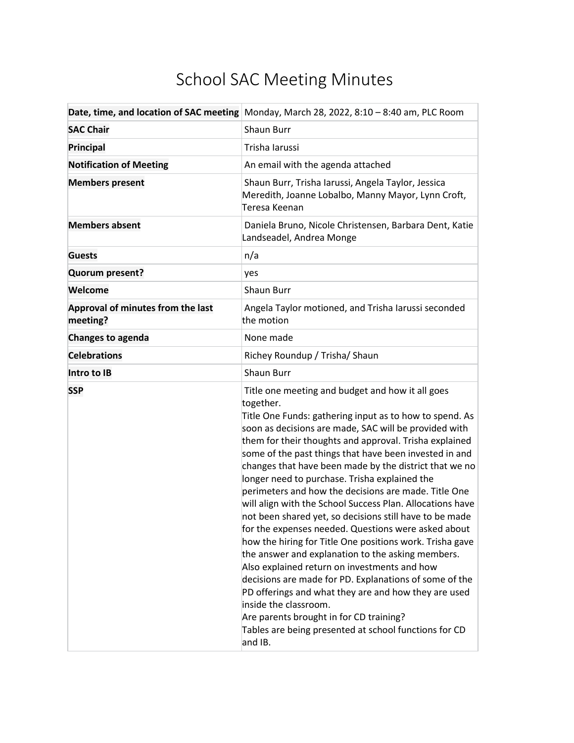## School SAC Meeting Minutes

|                                               | Date, time, and location of SAC meeting Monday, March 28, 2022, 8:10 - 8:40 am, PLC Room                                                                                                                                                                                                                                                                                                                                                                                                                                                                                                                                                                                                                                                                                                                                                                                                                                                                                                                                                                                           |
|-----------------------------------------------|------------------------------------------------------------------------------------------------------------------------------------------------------------------------------------------------------------------------------------------------------------------------------------------------------------------------------------------------------------------------------------------------------------------------------------------------------------------------------------------------------------------------------------------------------------------------------------------------------------------------------------------------------------------------------------------------------------------------------------------------------------------------------------------------------------------------------------------------------------------------------------------------------------------------------------------------------------------------------------------------------------------------------------------------------------------------------------|
| <b>SAC Chair</b>                              | <b>Shaun Burr</b>                                                                                                                                                                                                                                                                                                                                                                                                                                                                                                                                                                                                                                                                                                                                                                                                                                                                                                                                                                                                                                                                  |
| Principal                                     | Trisha Iarussi                                                                                                                                                                                                                                                                                                                                                                                                                                                                                                                                                                                                                                                                                                                                                                                                                                                                                                                                                                                                                                                                     |
| <b>Notification of Meeting</b>                | An email with the agenda attached                                                                                                                                                                                                                                                                                                                                                                                                                                                                                                                                                                                                                                                                                                                                                                                                                                                                                                                                                                                                                                                  |
| <b>Members present</b>                        | Shaun Burr, Trisha Iarussi, Angela Taylor, Jessica<br>Meredith, Joanne Lobalbo, Manny Mayor, Lynn Croft,<br>Teresa Keenan                                                                                                                                                                                                                                                                                                                                                                                                                                                                                                                                                                                                                                                                                                                                                                                                                                                                                                                                                          |
| <b>Members absent</b>                         | Daniela Bruno, Nicole Christensen, Barbara Dent, Katie<br>Landseadel, Andrea Monge                                                                                                                                                                                                                                                                                                                                                                                                                                                                                                                                                                                                                                                                                                                                                                                                                                                                                                                                                                                                 |
| <b>Guests</b>                                 | n/a                                                                                                                                                                                                                                                                                                                                                                                                                                                                                                                                                                                                                                                                                                                                                                                                                                                                                                                                                                                                                                                                                |
| Quorum present?                               | yes                                                                                                                                                                                                                                                                                                                                                                                                                                                                                                                                                                                                                                                                                                                                                                                                                                                                                                                                                                                                                                                                                |
| Welcome                                       | <b>Shaun Burr</b>                                                                                                                                                                                                                                                                                                                                                                                                                                                                                                                                                                                                                                                                                                                                                                                                                                                                                                                                                                                                                                                                  |
| Approval of minutes from the last<br>meeting? | Angela Taylor motioned, and Trisha Iarussi seconded<br>the motion                                                                                                                                                                                                                                                                                                                                                                                                                                                                                                                                                                                                                                                                                                                                                                                                                                                                                                                                                                                                                  |
| <b>Changes to agenda</b>                      | None made                                                                                                                                                                                                                                                                                                                                                                                                                                                                                                                                                                                                                                                                                                                                                                                                                                                                                                                                                                                                                                                                          |
| <b>Celebrations</b>                           | Richey Roundup / Trisha/ Shaun                                                                                                                                                                                                                                                                                                                                                                                                                                                                                                                                                                                                                                                                                                                                                                                                                                                                                                                                                                                                                                                     |
| Intro to IB                                   | <b>Shaun Burr</b>                                                                                                                                                                                                                                                                                                                                                                                                                                                                                                                                                                                                                                                                                                                                                                                                                                                                                                                                                                                                                                                                  |
| <b>SSP</b>                                    | Title one meeting and budget and how it all goes<br>together.<br>Title One Funds: gathering input as to how to spend. As<br>soon as decisions are made, SAC will be provided with<br>them for their thoughts and approval. Trisha explained<br>some of the past things that have been invested in and<br>changes that have been made by the district that we no<br>longer need to purchase. Trisha explained the<br>perimeters and how the decisions are made. Title One<br>will align with the School Success Plan. Allocations have<br>not been shared yet, so decisions still have to be made<br>for the expenses needed. Questions were asked about<br>how the hiring for Title One positions work. Trisha gave<br>the answer and explanation to the asking members.<br>Also explained return on investments and how<br>decisions are made for PD. Explanations of some of the<br>PD offerings and what they are and how they are used<br>inside the classroom.<br>Are parents brought in for CD training?<br>Tables are being presented at school functions for CD<br>and IB. |